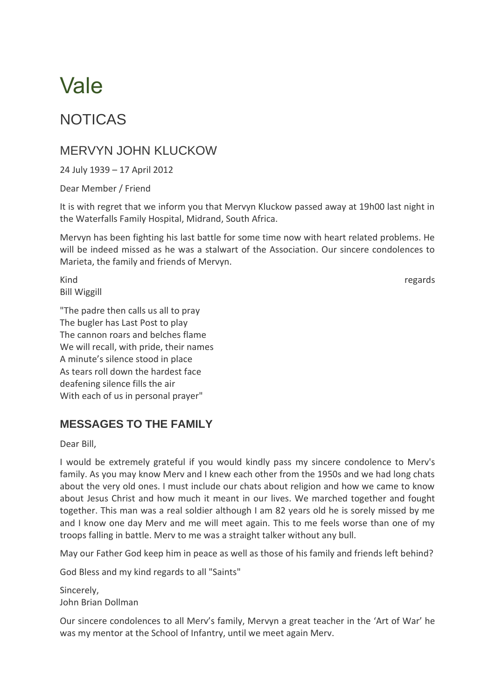# Vale

## NOTICAS

### MERVYN JOHN KLUCKOW

24 July 1939 – 17 April 2012

Dear Member / Friend

It is with regret that we inform you that Mervyn Kluckow passed away at 19h00 last night in the Waterfalls Family Hospital, Midrand, South Africa.

Mervyn has been fighting his last battle for some time now with heart related problems. He will be indeed missed as he was a stalwart of the Association. Our sincere condolences to Marieta, the family and friends of Mervyn.

Kind **regards** Bill Wiggill

"The padre then calls us all to pray The bugler has Last Post to play The cannon roars and belches flame We will recall, with pride, their names A minute's silence stood in place As tears roll down the hardest face deafening silence fills the air With each of us in personal prayer"

#### **MESSAGES TO THE FAMILY**

Dear Bill,

I would be extremely grateful if you would kindly pass my sincere condolence to Merv's family. As you may know Merv and I knew each other from the 1950s and we had long chats about the very old ones. I must include our chats about religion and how we came to know about Jesus Christ and how much it meant in our lives. We marched together and fought together. This man was a real soldier although I am 82 years old he is sorely missed by me and I know one day Merv and me will meet again. This to me feels worse than one of my troops falling in battle. Merv to me was a straight talker without any bull.

May our Father God keep him in peace as well as those of his family and friends left behind?

God Bless and my kind regards to all "Saints"

**Sincerely** John Brian Dollman

Our sincere condolences to all Merv's family, Mervyn a great teacher in the 'Art of War' he was my mentor at the School of Infantry, until we meet again Merv.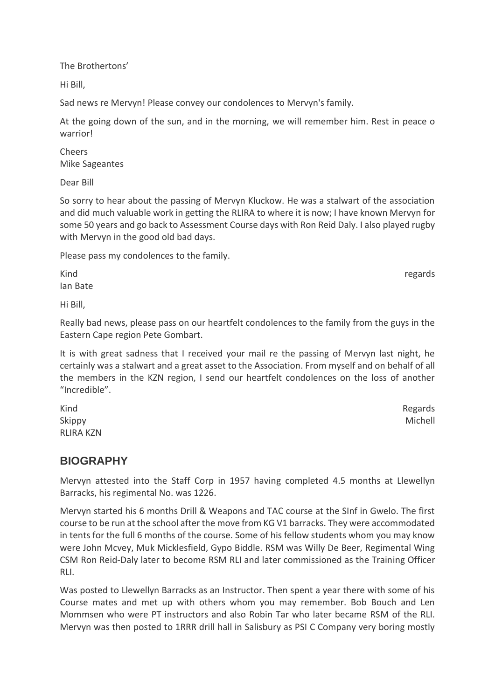The Brothertons'

Hi Bill,

Sad news re Mervyn! Please convey our condolences to Mervyn's family.

At the going down of the sun, and in the morning, we will remember him. Rest in peace o warrior!

Cheers Mike Sageantes

Dear Bill

So sorry to hear about the passing of Mervyn Kluckow. He was a stalwart of the association and did much valuable work in getting the RLIRA to where it is now; I have known Mervyn for some 50 years and go back to Assessment Course days with Ron Reid Daly. I also played rugby with Mervyn in the good old bad days.

Please pass my condolences to the family.

Kind **regards** Ian Bate

Hi Bill,

Really bad news, please pass on our heartfelt condolences to the family from the guys in the Eastern Cape region Pete Gombart.

It is with great sadness that I received your mail re the passing of Mervyn last night, he certainly was a stalwart and a great asset to the Association. From myself and on behalf of all the members in the KZN region, I send our heartfelt condolences on the loss of another "Incredible".

Kind **Regards** Skippy **Michell** RLIRA KZN

#### **BIOGRAPHY**

Mervyn attested into the Staff Corp in 1957 having completed 4.5 months at Llewellyn Barracks, his regimental No. was 1226.

Mervyn started his 6 months Drill & Weapons and TAC course at the SInf in Gwelo. The first course to be run at the school after the move from KG V1 barracks. They were accommodated in tents for the full 6 months of the course. Some of his fellow students whom you may know were John Mcvey, Muk Micklesfield, Gypo Biddle. RSM was Willy De Beer, Regimental Wing CSM Ron Reid-Daly later to become RSM RLI and later commissioned as the Training Officer RLI.

Was posted to Llewellyn Barracks as an Instructor. Then spent a year there with some of his Course mates and met up with others whom you may remember. Bob Bouch and Len Mommsen who were PT instructors and also Robin Tar who later became RSM of the RLI. Mervyn was then posted to 1RRR drill hall in Salisbury as PSI C Company very boring mostly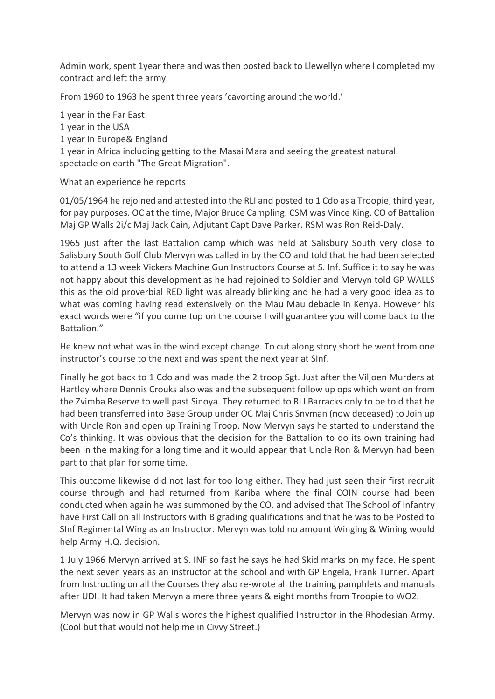Admin work, spent 1year there and was then posted back to Llewellyn where I completed my contract and left the army.

From 1960 to 1963 he spent three years 'cavorting around the world.'

1 year in the Far East. 1 year in the USA 1 year in Europe& England 1 year in Africa including getting to the Masai Mara and seeing the greatest natural spectacle on earth "The Great Migration".

What an experience he reports

01/05/1964 he rejoined and attested into the RLI and posted to 1 Cdo as a Troopie, third year, for pay purposes. OC at the time, Major Bruce Campling. CSM was Vince King. CO of Battalion Maj GP Walls 2i/c Maj Jack Cain, Adjutant Capt Dave Parker. RSM was Ron Reid-Daly.

1965 just after the last Battalion camp which was held at Salisbury South very close to Salisbury South Golf Club Mervyn was called in by the CO and told that he had been selected to attend a 13 week Vickers Machine Gun Instructors Course at S. Inf. Suffice it to say he was not happy about this development as he had rejoined to Soldier and Mervyn told GP WALLS this as the old proverbial RED light was already blinking and he had a very good idea as to what was coming having read extensively on the Mau Mau debacle in Kenya. However his exact words were "if you come top on the course I will guarantee you will come back to the Battalion."

He knew not what was in the wind except change. To cut along story short he went from one instructor's course to the next and was spent the next year at SInf.

Finally he got back to 1 Cdo and was made the 2 troop Sgt. Just after the Viljoen Murders at Hartley where Dennis Crouks also was and the subsequent follow up ops which went on from the Zvimba Reserve to well past Sinoya. They returned to RLI Barracks only to be told that he had been transferred into Base Group under OC Maj Chris Snyman (now deceased) to Join up with Uncle Ron and open up Training Troop. Now Mervyn says he started to understand the Co's thinking. It was obvious that the decision for the Battalion to do its own training had been in the making for a long time and it would appear that Uncle Ron & Mervyn had been part to that plan for some time.

This outcome likewise did not last for too long either. They had just seen their first recruit course through and had returned from Kariba where the final COIN course had been conducted when again he was summoned by the CO. and advised that The School of Infantry have First Call on all Instructors with B grading qualifications and that he was to be Posted to SInf Regimental Wing as an Instructor. Mervyn was told no amount Winging & Wining would help Army H.Q. decision.

1 July 1966 Mervyn arrived at S. INF so fast he says he had Skid marks on my face. He spent the next seven years as an instructor at the school and with GP Engela, Frank Turner. Apart from Instructing on all the Courses they also re-wrote all the training pamphlets and manuals after UDI. It had taken Mervyn a mere three years & eight months from Troopie to WO2.

Mervyn was now in GP Walls words the highest qualified Instructor in the Rhodesian Army. (Cool but that would not help me in Civvy Street.)